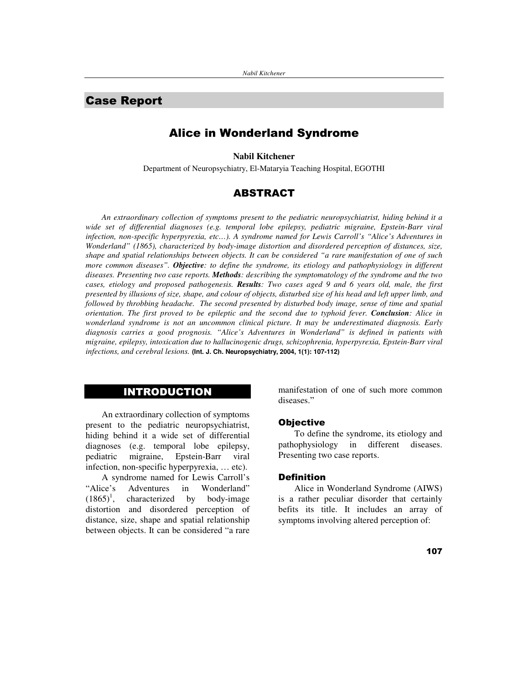# **Case Report**

# **Alice in Wonderland Syndrome**

**Nabil Kitchener**

Department of Neuropsychiatry, El-Mataryia Teaching Hospital, EGOTHI

## **ABSTRACT**

*An extraordinary collection of symptoms present to the pediatric neuropsychiatrist, hiding behind it a wide set of differential diagnoses (e.g. temporal lobe epilepsy, pediatric migraine, Epstein-Barr viral infection, non-specific hyperpyrexia, etc…). A syndrome named for Lewis Carroll's "Alice's Adventures in Wonderland" (1865), characterized by body-image distortion and disordered perception of distances, size,* shape and spatial relationships between objects. It can be considered "a rare manifestation of one of such *more common diseases". Objective: to define the syndrome, its etiology and pathophysiology in different diseases. Presenting two case reports. Methods: describing the symptomatology of the syndrome and the two* cases, etiology and proposed pathogenesis. Results: Two cases aged 9 and 6 years old, male, the first presented by illusions of size, shape, and colour of objects, disturbed size of his head and left upper limb, and *followed by throbbing headache. The second presented by disturbed body image, sense of time and spatial* orientation. The first proved to be epileptic and the second due to typhoid fever. Conclusion: Alice in *wonderland syndrome is not an uncommon clinical picture. It may be underestimated diagnosis. Early diagnosis carries a good prognosis. "Alice's Adventures in Wonderland" is defined in patients with migraine, epilepsy, intoxication due to hallucinogenic drugs, schizophrenia, hyperpyrexia, Epstein-Barr viral infections, and cerebral lesions.* **(Int. J. Ch. Neuropsychiatry, 2004, 1(1): 107-112)**

# **INTRODUCTION**

An extraordinary collection of symptoms present to the pediatric neuropsychiatrist, hiding behind it a wide set of differential diagnoses (e.g. temporal lobe epilepsy, pediatric migraine, Epstein-Barr viral infection, non-specific hyperpyrexia, … etc).

A syndrome named for Lewis Carroll's<br>
"Alice's Adventures in Wonderland" Adventures in Wonderland"  $(1865)^{1}$ , characterized by body-image distortion and disordered perception of distance, size, shape and spatial relationship between objects. It can be considered "a rare manifestation of one of such more common diseases."

#### **Objective**

To define the syndrome, its etiology and pathophysiology in different diseases. Presenting two case reports.

#### **Definition**

Alice in Wonderland Syndrome (AIWS) is a rather peculiar disorder that certainly befits its title. It includes an array of symptoms involving altered perception of: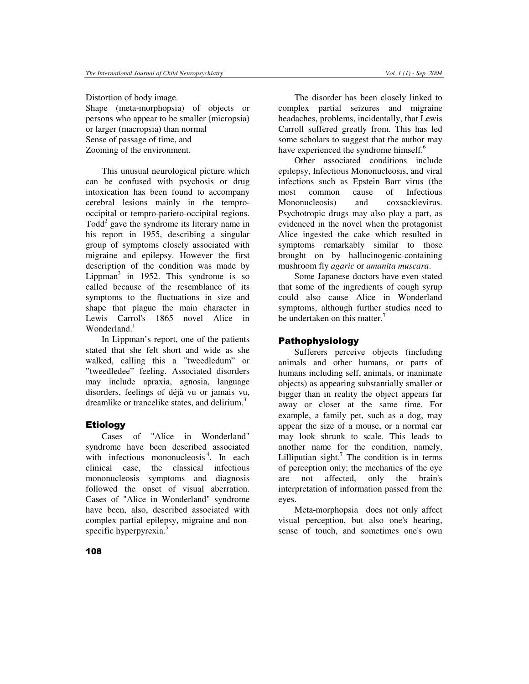Distortion of body image. Shape (meta-morphopsia) of objects or persons who appear to be smaller (micropsia) or larger (macropsia) than normal Sense of passage of time, and Zooming of the environment.

This unusual neurological picture which can be confused with psychosis or drug intoxication has been found to accompany cerebral lesions mainly in the temprooccipital or tempro-parieto-occipital regions. Todd 2 gave the syndrome its literary name in his report in 1955, describing a singular group of symptoms closely associated with migraine and epilepsy. However the first description of the condition was made by Lippman<sup>3</sup> in 1952. This syndrome is so called because of the resemblance of its symptoms to the fluctuations in size and shape that plague the main character in Lewis Carrol's 1865 novel Alice in Wonderland.<sup>1</sup>

In Lippman's report, one of the patients stated that she felt short and wide as she walked, calling this a "tweedledum" or "tweedledee" feeling. Associated disorders may include apraxia, agnosia, language disorders, feelings of déjà vu or jamais vu, dreamlike or trancelike states, and delirium.<sup>3</sup>

## **Etiology**

Cases of "Alice in Wonderland" syndrome have been described associated with infectious mononucleosis<sup>4</sup>. In each clinical case, the classical infectious mononucleosis symptoms and diagnosis followed the onset of visual aberration. Cases of "Alice in Wonderland" syndrome have been, also, described associated with complex partial epilepsy, migraine and nonspecific hyperpyrexia. 5

The disorder has been closely linked to complex partial seizures and migraine headaches, problems, incidentally, that Lewis Carroll suffered greatly from. This has led some scholars to suggest that the author may have experienced the syndrome himself.<sup>6</sup>

Other associated conditions include epilepsy, Infectious Mononucleosis, and viral infections such as Epstein Barr virus (the most common cause of Infectious Mononucleosis) and coxsackievirus. Psychotropic drugs may also play a part, as evidenced in the novel when the protagonist Alice ingested the cake which resulted in symptoms remarkably similar to those brought on by hallucinogenic-containing mushroom fly *agaric* or *amanita muscara*.

Some Japanese doctors have even stated that some of the ingredients of cough syrup could also cause Alice in Wonderland symptoms, although further studies need to be undertaken on this matter.<sup>7</sup>

## Pathophysiology

Sufferers perceive objects (including animals and other humans, or parts of humans including self, animals, or inanimate objects) as appearing substantially smaller or bigger than in reality the object appears far away or closer at the same time. For example, a family pet, such as a dog, may appear the size of a mouse, or a normal car may look shrunk to scale. This leads to another name for the condition, namely, Lilliputian sight.<sup>7</sup> The condition is in terms of perception only; the mechanics of the eye are not affected, only the brain's interpretation of information passed from the eyes.

Meta-morphopsia does not only affect visual perception, but also one's hearing, sense of touch, and sometimes one's own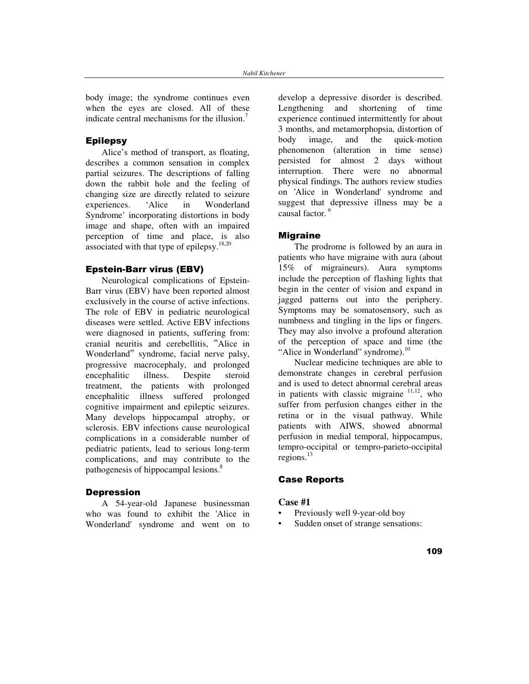body image; the syndrome continues even when the eyes are closed. All of these indicate central mechanisms for the illusion.<sup>7</sup>

## Epilepsy

Alice's method of transport, as floating, describes a common sensation in complex partial seizures. The descriptions of falling down the rabbit hole and the feeling of changing size are directly related to seizure experiences. 'Alice in Wonderland Syndrome' incorporating distortions in body image and shape, often with an impaired perception of time and place, is also associated with that type of epilepsy. $18,20$ 

## Epstein-Barr virus (EBV)

Neurological complications of Epstein-Barr virus (EBV) have been reported almost exclusively in the course of active infections. The role of EBV in pediatric neurological diseases were settled. Active EBV infections were diagnosed in patients, suffering from: cranial neuritis and cerebellitis, "Alice in Wonderland<sup> $n$ </sup> syndrome, facial nerve palsy, progressive macrocephaly, and prolonged encephalitic illness. Despite steroid treatment, the patients with prolonged encephalitic illness suffered prolonged cognitive impairment and epileptic seizures. Many develops hippocampal atrophy, or sclerosis. EBV infections cause neurological complications in a considerable number of pediatric patients, lead to serious long-term complications, and may contribute to the pathogenesis of hippocampal lesions.<sup>8</sup>

#### **Depression**

A 54-year-old Japanese businessman who was found to exhibit the 'Alice in Wonderland' syndrome and went on to

develop a depressive disorder is described. Lengthening and shortening of time experience continued intermittently for about 3 months, and metamorphopsia, distortion of body image, and the quick-motion phenomenon (alteration in time sense) persisted for almost 2 days without interruption. There were no abnormal physical findings. The authors review studies on 'Alice in Wonderland'syndrome and suggest that depressive illness may be a causal factor. 9

### **Miaraine**

The prodrome is followed by an aura in patients who have migraine with aura (about 15% of migraineurs). Aura symptoms include the perception of flashing lights that begin in the center of vision and expand in jagged patterns out into the periphery. Symptoms may be somatosensory, such as numbness and tingling in the lips or fingers. They may also involve a profound alteration of the perception of space and time (the "Alice in Wonderland" syndrome).<sup>10</sup>

Nuclear medicine techniques are able to demonstrate changes in cerebral perfusion and is used to detect abnormal cerebral areas in patients with classic migraine  $11,12$ , who suffer from perfusion changes either in the retina or in the visual pathway. While patients with AIWS, showed abnormal perfusion in medial temporal, hippocampus, tempro-occipital or tempro-parieto-occipital regions.<sup>13</sup>

## **Case Reports**

### **Case #1**

- Previously well 9-year-old boy
- Sudden onset of strange sensations: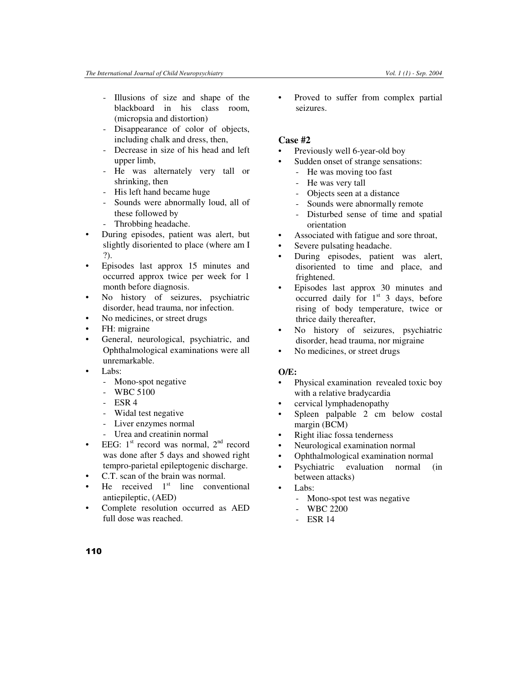- Illusions of size and shape of the blackboard in his class room, (micropsia and distortion)
- Disappearance of color of objects, including chalk and dress, then,
- Decrease in size of his head and left upper limb,
- He was alternately very tall or shrinking, then
- His left hand became huge
- Sounds were abnormally loud, all of these followed by
- Throbbing headache.
- During episodes, patient was alert, but slightly disoriented to place (where am I ?).
- Episodes last approx 15 minutes and occurred approx twice per week for 1 month before diagnosis.
- No history of seizures, psychiatric disorder, head trauma, nor infection.
- No medicines, or street drugs
- FH: migraine
- General, neurological, psychiatric, and Ophthalmological examinations were all unremarkable.
- Labs:
	- Mono-spot negative
	- WBC 5100
	- $-$  ESR 4
	- Widal test negative
	- Liver enzymes normal
	- Urea and creatinin normal
- EEG:  $1<sup>st</sup>$  record was normal,  $2<sup>nd</sup>$  record was done after 5 days and showed right tempro-parietal epileptogenic discharge.
- C.T. scan of the brain was normal.
- He received  $1<sup>st</sup>$  line conventional antiepileptic, (AED)
- Complete resolution occurred as AED full dose was reached.

• Proved to suffer from complex partial seizures.

## **Case #2**

- Previously well 6-year-old boy
- Sudden onset of strange sensations:
	- He was moving too fast
	- He was very tall
	- Objects seen at a distance
	- Sounds were abnormally remote
	- Disturbed sense of time and spatial orientation
- Associated with fatigue and sore throat,
- Severe pulsating headache.
- During episodes, patient was alert, disoriented to time and place, and frightened.
- Episodes last approx 30 minutes and occurred daily for  $1<sup>st</sup>$  3 days, before rising of body temperature, twice or thrice daily thereafter,
- No history of seizures, psychiatric disorder, head trauma, nor migraine
- No medicines, or street drugs

## **O/E:**

- Physical examination revealed toxic boy with a relative bradycardia
- cervical lymphadenopathy
- Spleen palpable 2 cm below costal margin (BCM)
- Right iliac fossa tenderness
- Neurological examination normal
- Ophthalmological examination normal
- Psychiatric evaluation normal (in between attacks)
- Labs:
	- Mono-spot test was negative
	- WBC 2200
		- **ESR 14**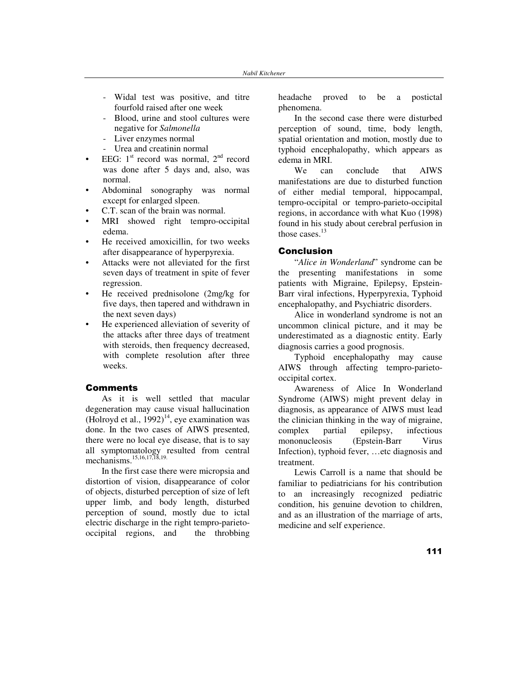- Widal test was positive, and titre fourfold raised after one week
- Blood, urine and stool cultures were negative for *Salmonella*
- Liver enzymes normal
- Urea and creatinin normal
- EEG:  $1^{\text{st}}$  record was normal,  $2^{\text{nd}}$  record was done after 5 days and, also, was normal.
- Abdominal sonography was normal except for enlarged slpeen.
- C.T. scan of the brain was normal.
- MRI showed right tempro-occipital edema.
- He received amoxicillin, for two weeks after disappearance of hyperpyrexia.
- Attacks were not alleviated for the first seven days of treatment in spite of fever regression.
- He received prednisolone (2mg/kg for five days, then tapered and withdrawn in the next seven days)
- He experienced alleviation of severity of the attacks after three days of treatment with steroids, then frequency decreased, with complete resolution after three weeks.

#### **Comments**

As it is well settled that macular degeneration may cause visual hallucination (Holroyd et al.,  $1992$ )<sup>14</sup>, eye examination was done. In the two cases of AIWS presented, there were no local eye disease, that is to say all symptomatology resulted from central mechanisms. 15,16,17,18,19.

In the first case there were micropsia and distortion of vision, disappearance of color of objects, disturbed perception of size of left upper limb, and body length, disturbed perception of sound, mostly due to ictal electric discharge in the right tempro-parietooccipital regions, and the throbbing headache proved to be a postictal phenomena.

In the second case there were disturbed perception of sound, time, body length, spatial orientation and motion, mostly due to typhoid encephalopathy, which appears as edema in MRI.

can conclude that AIWS manifestations are due to disturbed function of either medial temporal, hippocampal, tempro-occipital or tempro-parieto-occipital regions, in accordance with what Kuo (1998) found in his study about cerebral perfusion in those cases. 13

#### **Conclusion**

"*Alice in Wonderland*" syndrome can be the presenting manifestations in some patients with Migraine, Epilepsy, Epstein-Barr viral infections, Hyperpyrexia, Typhoid encephalopathy, and Psychiatric disorders.

Alice in wonderland syndrome is not an uncommon clinical picture, and it may be underestimated as a diagnostic entity. Early diagnosis carries a good prognosis.

Typhoid encephalopathy may cause AIWS through affecting tempro-parietooccipital cortex.

Awareness of Alice In Wonderland Syndrome (AIWS) might prevent delay in diagnosis, as appearance of AIWS must lead the clinician thinking in the way of migraine, complex partial epilepsy, infectious mononucleosis (Epstein-Barr Virus Infection), typhoid fever, …etc diagnosis and treatment.

Lewis Carroll is a name that should be familiar to pediatricians for his contribution to an increasingly recognized pediatric condition, his genuine devotion to children, and as an illustration of the marriage of arts, medicine and self experience.